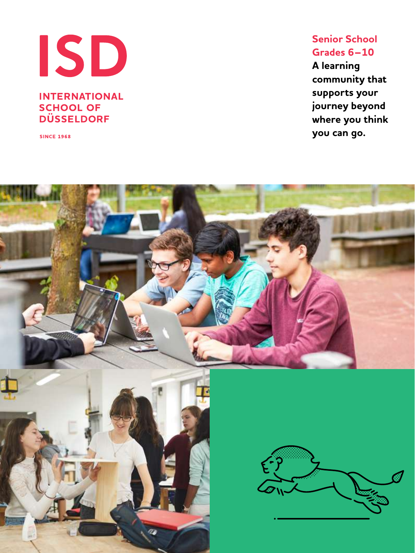# ISD **INTERNATIONAL SCHOOL OF DÜSSELDORF**

**SINCE 1968** 

## **Senior School Grades 6–10**

**A learning community that supports your journey beyond where you think you can go.**

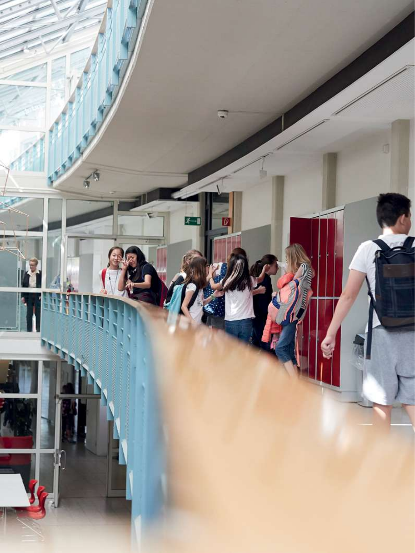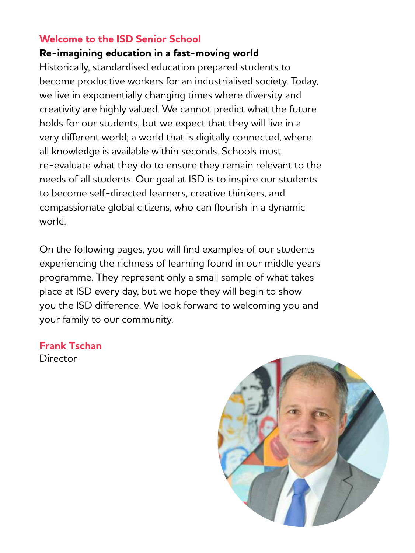## **Welcome to the ISD Senior School**

## **Re-imagining education in a fast-moving world**

Historically, standardised education prepared students to become productive workers for an industrialised society. Today, we live in exponentially changing times where diversity and creativity are highly valued. We cannot predict what the future holds for our students, but we expect that they will live in a very different world; a world that is digitally connected, where all knowledge is available within seconds. Schools must re-evaluate what they do to ensure they remain relevant to the needs of all students. Our goal at ISD is to inspire our students to become self-directed learners, creative thinkers, and compassionate global citizens, who can flourish in a dynamic world.

On the following pages, you will find examples of our students experiencing the richness of learning found in our middle years programme. They represent only a small sample of what takes place at ISD every day, but we hope they will begin to show you the ISD difference. We look forward to welcoming you and your family to our community.

### **Frank Tschan**

**Director** 

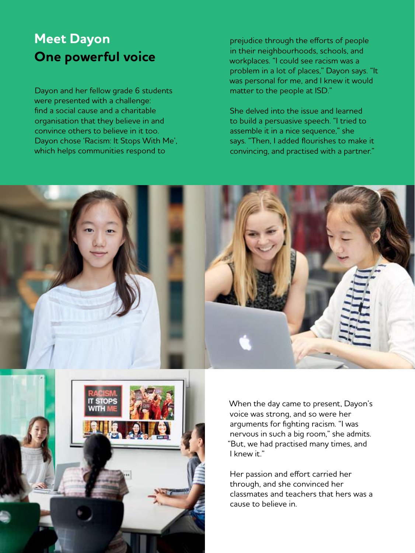# **Meet Dayon One powerful voice**

Dayon and her fellow grade 6 students were presented with a challenge: find a social cause and a charitable organisation that they believe in and convince others to believe in it too. Dayon chose 'Racism: It Stops With Me', which helps communities respond to

prejudice through the efforts of people in their neighbourhoods, schools, and workplaces. "I could see racism was a problem in a lot of places," Dayon says. "It was personal for me, and I knew it would matter to the people at ISD."

She delved into the issue and learned to build a persuasive speech. "I tried to assemble it in a nice sequence," she says. "Then, I added flourishes to make it convincing, and practised with a partner."





When the day came to present, Dayon's voice was strong, and so were her arguments for fighting racism. "I was nervous in such a big room," she admits. "But, we had practised many times, and I knew it."

Her passion and effort carried her through, and she convinced her classmates and teachers that hers was a cause to believe in.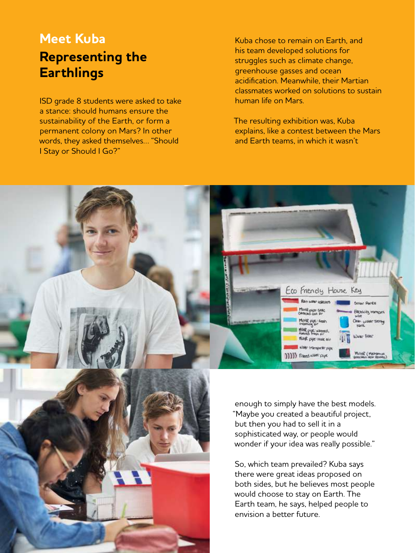# **Meet Kuba Representing the Earthlings**

ISD grade 8 students were asked to take a stance: should humans ensure the sustainability of the Earth, or form a permanent colony on Mars? In other words, they asked themselves… "Should I Stay or Should I Go?"

Kuba chose to remain on Earth, and his team developed solutions for struggles such as climate change, greenhouse gasses and ocean acidification. Meanwhile, their Martian classmates worked on solutions to sustain human life on Mars.

The resulting exhibition was, Kuba explains, like a contest between the Mars and Earth teams, in which it wasn't





enough to simply have the best models. "Maybe you created a beautiful project, but then you had to sell it in a sophisticated way, or people would wonder if your idea was really possible."

So, which team prevailed? Kuba says there were great ideas proposed on both sides, but he believes most people would choose to stay on Earth. The Earth team, he says, helped people to envision a better future.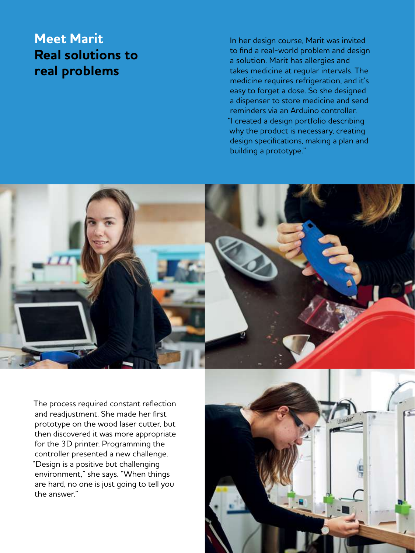## **Meet Marit Real solutions to real problems**

In her design course, Marit was invited to find a real-world problem and design a solution. Marit has allergies and takes medicine at regular intervals. The medicine requires refrigeration, and it's easy to forget a dose. So she designed a dispenser to store medicine and send reminders via an Arduino controller. "I created a design portfolio describing why the product is necessary, creating design specifications, making a plan and building a prototype."





The process required constant reflection and readjustment. She made her first prototype on the wood laser cutter, but then discovered it was more appropriate for the 3D printer. Programming the controller presented a new challenge. "Design is a positive but challenging environment," she says. "When things are hard, no one is just going to tell you the answer."

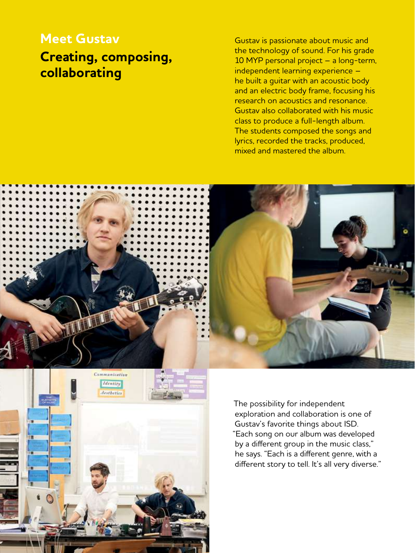# **Meet Gustav Creating, composing, collaborating**

Gustav is passionate about music and the technology of sound. For his grade 10 MYP personal project – a long-term, independent learning experience – he built a guitar with an acoustic body and an electric body frame, focusing his research on acoustics and resonance. Gustav also collaborated with his music class to produce a full-length album. The students composed the songs and lyrics, recorded the tracks, produced, mixed and mastered the album.





The possibility for independent exploration and collaboration is one of Gustav's favorite things about ISD. "Each song on our album was developed by a different group in the music class," he says. "Each is a different genre, with a different story to tell. It's all very diverse."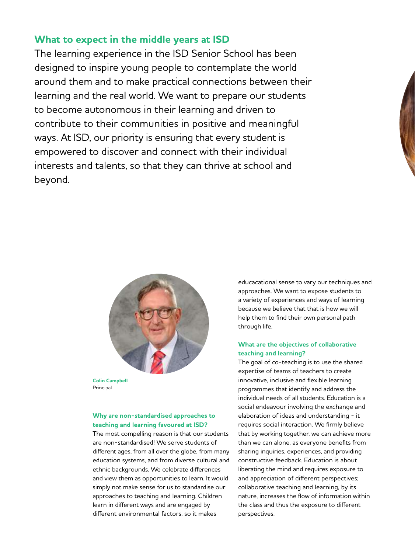### **What to expect in the middle years at ISD**

The learning experience in the ISD Senior School has been designed to inspire young people to contemplate the world around them and to make practical connections between their learning and the real world. We want to prepare our students to become autonomous in their learning and driven to contribute to their communities in positive and meaningful ways. At ISD, our priority is ensuring that every student is empowered to discover and connect with their individual interests and talents, so that they can thrive at school and beyond.



**Colin Campbell** Principal

### **Why are non-standardised approaches to teaching and learning favoured at ISD?**

The most compelling reason is that our students are non-standardised! We serve students of different ages, from all over the globe, from many education systems, and from diverse cultural and ethnic backgrounds. We celebrate differences and view them as opportunities to learn. It would simply not make sense for us to standardise our approaches to teaching and learning. Children learn in different ways and are engaged by different environmental factors, so it makes

educacational sense to vary our techniques and approaches. We want to expose students to a variety of experiences and ways of learning because we believe that that is how we will help them to find their own personal path through life.

### **What are the objectives of collaborative teaching and learning?**

The goal of co-teaching is to use the shared expertise of teams of teachers to create innovative, inclusive and flexible learning programmes that identify and address the individual needs of all students. Education is a social endeavour involving the exchange and elaboration of ideas and understanding - it requires social interaction. We firmly believe that by working together, we can achieve more than we can alone, as everyone benefits from sharing inquiries, experiences, and providing constructive feedback. Education is about liberating the mind and requires exposure to and appreciation of different perspectives; collaborative teaching and learning, by its nature, increases the flow of information within the class and thus the exposure to different perspectives.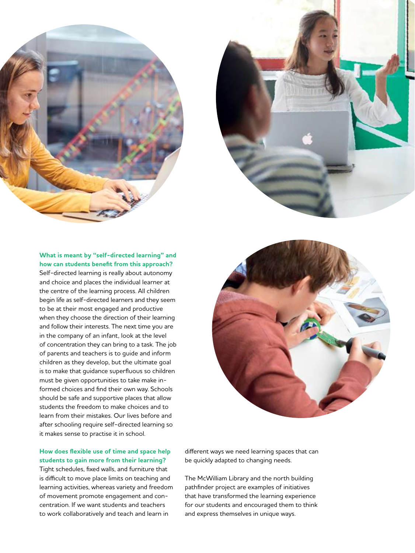



### **What is meant by "self-directed learning" and how can students benefit from this approach?**

Self-directed learning is really about autonomy and choice and places the individual learner at the centre of the learning process. All children begin life as self-directed learners and they seem to be at their most engaged and productive when they choose the direction of their learning and follow their interests. The next time you are in the company of an infant, look at the level of concentration they can bring to a task. The job of parents and teachers is to guide and inform children as they develop, but the ultimate goal is to make that guidance superfluous so children must be given opportunities to take make informed choices and find their own way. Schools should be safe and supportive places that allow students the freedom to make choices and to learn from their mistakes. Our lives before and after schooling require self-directed learning so it makes sense to practise it in school.

### **How does flexible use of time and space help students to gain more from their learning?**

Tight schedules, fixed walls, and furniture that is difficult to move place limits on teaching and learning activities, whereas variety and freedom of movement promote engagement and concentration. If we want students and teachers to work collaboratively and teach and learn in



different ways we need learning spaces that can be quickly adapted to changing needs.

The McWilliam Library and the north building pathfinder project are examples of initiatives that have transformed the learning experience for our students and encouraged them to think and express themselves in unique ways.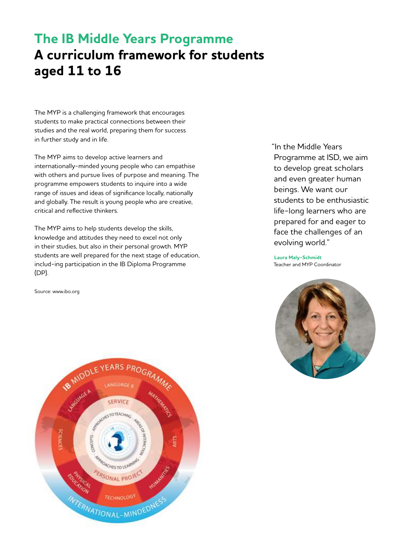# **The IB Middle Years Programme A curriculum framework for students aged 11 to 16**

The MYP is a challenging framework that encourages students to make practical connections between their studies and the real world, preparing them for success in further study and in life.

The MYP aims to develop active learners and internationally-minded young people who can empathise with others and pursue lives of purpose and meaning. The programme empowers students to inquire into a wide range of issues and ideas of significance locally, nationally and globally. The result is young people who are creative, critical and reflective thinkers.

The MYP aims to help students develop the skills, knowledge and attitudes they need to excel not only in their studies, but also in their personal growth. MYP students are well prepared for the next stage of education, includ-ing participation in the IB Diploma Programme (DP).

Source: www.ibo.org

"In the Middle Years Programme at ISD, we aim to develop great scholars and even greater human beings. We want our students to be enthusiastic life-long learners who are prepared for and eager to face the challenges of an evolving world."

**Laura Maly-Schmidt**  Teacher and MYP Coordinator



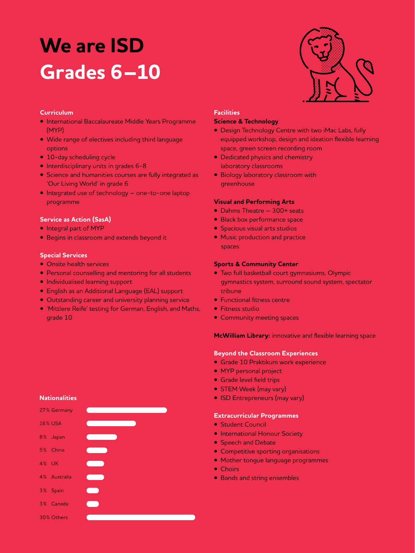# **We are ISD Grades 6–10**



### **Curriculum**

- International Baccalaureate Middle Years Programme (MYP)
- Wide range of electives including third language options
- 10-day scheduling cycle
- Interdisciplinary units in grades 6-8
- Science and humanities courses are fully integrated as 'Our Living World' in grade 6
- Integrated use of technology one-to-one laptop programme

### **Service as Action (SasA)**

- Integral part of MYP
- Begins in classroom and extends beyond it

### **Special Services**

- Onsite health services
- Personal counselling and mentoring for all students
- Individualised learning support
- English as an Additional Language (EAL) support
- Outstanding career and university planning service
- 'Mittlere Reife' testing for German, English, and Maths, grade 10

### **Facilities**

### **Science & Technology**

- Design Technology Centre with two iMac Labs, fully equipped workshop, design and ideation flexible learning space, green screen recording room
- Dedicated physics and chemistry laboratory classrooms
- Biology laboratory classroom with greenhouse

### **Visual and Performing Arts**

- Dahms Theatre 300+ seats
- Black box performance space
- Spacious visual arts studios
- Music production and practice spaces

### **Sports & Community Center**

- Two full basketball court gymnasiums, Olympic gymnastics system, surround sound system, spectator tribune
- Functional fitness centre
- Fitness studio
- Community meeting spaces

#### **McWilliam Library:** innovative and flexible learning space

### **Beyond the Classroom Experiences**

- Grade 10 Praktikum work experience
- MYP personal project
- Grade level field trips
- STEM Week (may vary)
- ISD Entrepreneurs (may vary)

### **Extracurricular Programmes**

- Student Council
- International Honour Society
- Speech and Debate
- Competitive sporting organisations
- Mother tongue language programmes
- Choirs
- Bands and string ensembles

### **Nationalities**